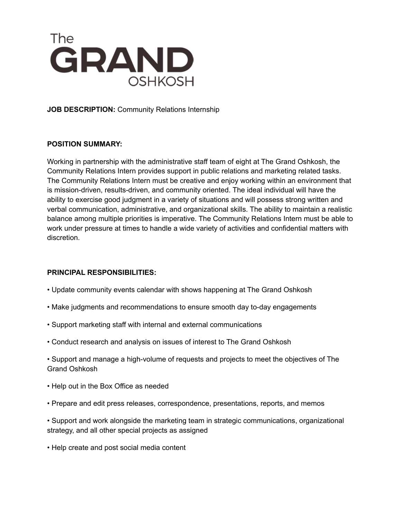

**JOB DESCRIPTION:** Community Relations Internship

# **POSITION SUMMARY:**

Working in partnership with the administrative staff team of eight at The Grand Oshkosh, the Community Relations Intern provides support in public relations and marketing related tasks. The Community Relations Intern must be creative and enjoy working within an environment that is mission-driven, results-driven, and community oriented. The ideal individual will have the ability to exercise good judgment in a variety of situations and will possess strong written and verbal communication, administrative, and organizational skills. The ability to maintain a realistic balance among multiple priorities is imperative. The Community Relations Intern must be able to work under pressure at times to handle a wide variety of activities and confidential matters with discretion.

## **PRINCIPAL RESPONSIBILITIES:**

- Update community events calendar with shows happening at The Grand Oshkosh
- Make judgments and recommendations to ensure smooth day to-day engagements
- Support marketing staff with internal and external communications
- Conduct research and analysis on issues of interest to The Grand Oshkosh
- Support and manage a high-volume of requests and projects to meet the objectives of The Grand Oshkosh
- Help out in the Box Office as needed
- Prepare and edit press releases, correspondence, presentations, reports, and memos
- Support and work alongside the marketing team in strategic communications, organizational strategy, and all other special projects as assigned
- Help create and post social media content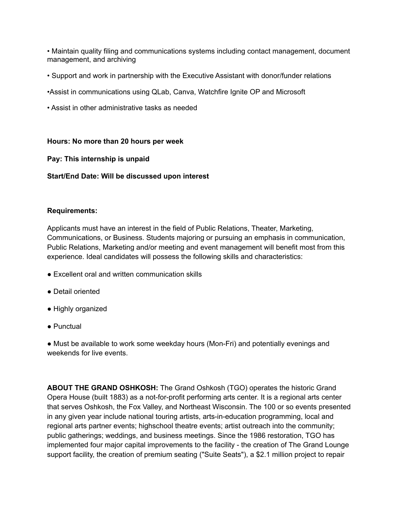• Maintain quality filing and communications systems including contact management, document management, and archiving

- Support and work in partnership with the Executive Assistant with donor/funder relations
- •Assist in communications using QLab, Canva, Watchfire Ignite OP and Microsoft
- Assist in other administrative tasks as needed

#### **Hours: No more than 20 hours per week**

## **Pay: This internship is unpaid**

## **Start/End Date: Will be discussed upon interest**

#### **Requirements:**

Applicants must have an interest in the field of Public Relations, Theater, Marketing, Communications, or Business. Students majoring or pursuing an emphasis in communication, Public Relations, Marketing and/or meeting and event management will benefit most from this experience. Ideal candidates will possess the following skills and characteristics:

- Excellent oral and written communication skills
- Detail oriented
- Highly organized
- Punctual

● Must be available to work some weekday hours (Mon-Fri) and potentially evenings and weekends for live events.

**ABOUT THE GRAND OSHKOSH:** The Grand Oshkosh (TGO) operates the historic Grand Opera House (built 1883) as a not-for-profit performing arts center. It is a regional arts center that serves Oshkosh, the Fox Valley, and Northeast Wisconsin. The 100 or so events presented in any given year include national touring artists, arts-in-education programming, local and regional arts partner events; highschool theatre events; artist outreach into the community; public gatherings; weddings, and business meetings. Since the 1986 restoration, TGO has implemented four major capital improvements to the facility - the creation of The Grand Lounge support facility, the creation of premium seating ("Suite Seats"), a \$2.1 million project to repair